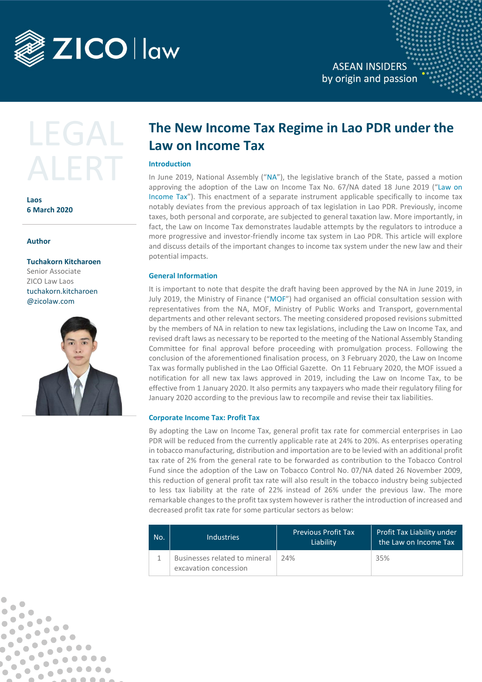

**ASEAN INSIDERS** by origin and passion

**Laos 6 March 2020**

**Author**

 $\blacksquare$ 

 $\bullet$ 

 $\bullet$ 

 $\blacksquare$ 

 $\bullet$  $\begin{array}{ccc} \bullet & \bullet & \bullet \\ \bullet & \bullet & \bullet \end{array}$ 

 $\bullet$  $\bullet$ 

 $\qquad \qquad \bullet$ 

 $\blacksquare$ 

 $\bullet$  $\bullet$  $\bullet$ 

> $\bullet$  $\bullet$

> > $\bullet\bullet\bullet\bullet$

 $000000$ 

 $. 000000$ 

Ċ

Ó

b

 $\bullet$  $\bullet$ 

 $\bullet$ 

 $\bullet$  $\bullet$ 

 $\bullet$  $\qquad \qquad \blacksquare$ 

 $\bullet$ 

 $\bullet$ 

**Tuchakorn Kitcharoen**  Senior Associate ZICO Law Laos tuchakorn.kitcharoen @zicolaw.com



# **The New Income Tax Regime in Lao PDR under the Law on Income Tax**

# **Introduction**

In June 2019, National Assembly ("NA"), the legislative branch of the State, passed a motion approving the adoption of the Law on Income Tax No. 67/NA dated 18 June 2019 ("Law on Income Tax"). This enactment of a separate instrument applicable specifically to income tax notably deviates from the previous approach of tax legislation in Lao PDR. Previously, income taxes, both personal and corporate, are subjected to general taxation law. More importantly, in fact, the Law on Income Tax demonstrates laudable attempts by the regulators to introduce a more progressive and investor-friendly income tax system in Lao PDR. This article will explore and discuss details of the important changes to income tax system under the new law and their potential impacts.

# **General Information**

It is important to note that despite the draft having been approved by the NA in June 2019, in July 2019, the Ministry of Finance ("MOF") had organised an official consultation session with representatives from the NA, MOF, Ministry of Public Works and Transport, governmental departments and other relevant sectors. The meeting considered proposed revisions submitted by the members of NA in relation to new tax legislations, including the Law on Income Tax, and revised draft laws as necessary to be reported to the meeting of the National Assembly Standing Committee for final approval before proceeding with promulgation process. Following the conclusion of the aforementioned finalisation process, on 3 February 2020, the Law on Income Tax was formally published in the Lao Official Gazette. On 11 February 2020, the MOF issued a notification for all new tax laws approved in 2019, including the Law on Income Tax, to be effective from 1 January 2020. It also permits any taxpayers who made their regulatory filing for January 2020 according to the previous law to recompile and revise their tax liabilities.

## **Corporate Income Tax: Profit Tax**

By adopting the Law on Income Tax, general profit tax rate for commercial enterprises in Lao PDR will be reduced from the currently applicable rate at 24% to 20%. As enterprises operating in tobacco manufacturing, distribution and importation are to be levied with an additional profit tax rate of 2% from the general rate to be forwarded as contribution to the Tobacco Control Fund since the adoption of the Law on Tobacco Control No. 07/NA dated 26 November 2009, this reduction of general profit tax rate will also result in the tobacco industry being subjected to less tax liability at the rate of 22% instead of 26% under the previous law. The more remarkable changes to the profit tax system however is rather the introduction of increased and decreased profit tax rate for some particular sectors as below:

| No. | <b>Industries</b>                                      | <b>Previous Profit Tax</b><br>Liability | Profit Tax Liability under<br>the Law on Income Tax |
|-----|--------------------------------------------------------|-----------------------------------------|-----------------------------------------------------|
|     | Businesses related to mineral<br>excavation concession | 74%                                     | 35%                                                 |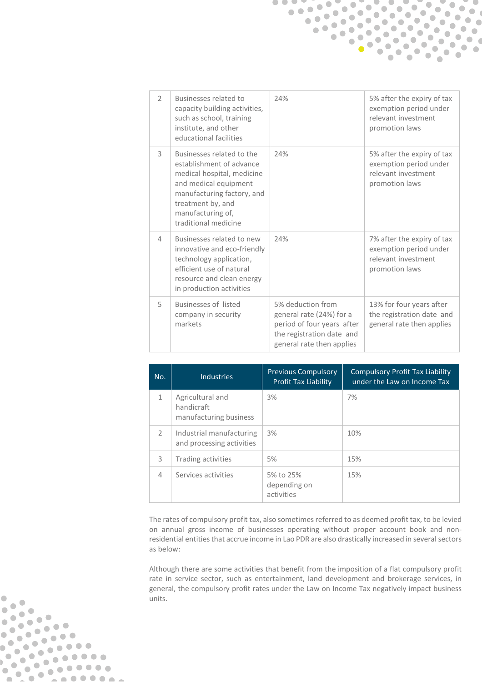| $\mathcal{P}$ | Businesses related to<br>capacity building activities,<br>such as school, training<br>institute, and other<br>educational facilities                                                                         | 24%                                                                                                                                   | 5% after the expiry of tax<br>exemption period under<br>relevant investment<br>promotion laws |
|---------------|--------------------------------------------------------------------------------------------------------------------------------------------------------------------------------------------------------------|---------------------------------------------------------------------------------------------------------------------------------------|-----------------------------------------------------------------------------------------------|
| 3             | Businesses related to the<br>establishment of advance<br>medical hospital, medicine<br>and medical equipment<br>manufacturing factory, and<br>treatment by, and<br>manufacturing of,<br>traditional medicine | 24%                                                                                                                                   | 5% after the expiry of tax<br>exemption period under<br>relevant investment<br>promotion laws |
| 4             | Businesses related to new<br>innovative and eco-friendly<br>technology application,<br>efficient use of natural<br>resource and clean energy<br>in production activities                                     | 24%                                                                                                                                   | 7% after the expiry of tax<br>exemption period under<br>relevant investment<br>promotion laws |
| 5             | <b>Businesses of listed</b><br>company in security<br>markets                                                                                                                                                | 5% deduction from<br>general rate (24%) for a<br>period of four years after<br>the registration date and<br>general rate then applies | 13% for four years after<br>the registration date and<br>general rate then applies            |

 $\bullet$   $\bullet$   $\bullet$ 

 $\bullet$ 

 $\bullet$ 

 $\bullet$ 

 $\bullet$ 

 $\bullet$ 

 $\bullet$ 

 $\bullet$ 

 $\bullet$ 

 $\bullet$ 

 $\bullet$  $\bullet$ 

 $\bullet$ 

 $\bullet$ 

 $\bullet$ 

 $\bullet$ 

 $\bullet$ 

 $\bullet$ 

 $\bullet$ 

 $\bullet$ 

 $\bullet$ 

 $\bullet$ 

 $\bullet$ 

 $\bullet$ 

 $\bullet$ 

 $\bullet$  $\bullet$ 

 $\bullet$ 

 $\bullet$ 

 $\bullet$ 

 $\bullet$ 

 $\bullet$ 

 $\bullet$ 

 $\bullet$ 

 $\bullet$  $\bullet$ 

 $\bullet$ 

 $\blacksquare$ 

 $\bullet$ 

 $\qquad \qquad \blacksquare$ 

 $\bullet$  $\bullet$ 

 $\bullet$ 

 $\bullet$ 

 $\begin{array}{ccc} \bullet & \bullet & \bullet \\ \bullet & \bullet & \bullet \end{array}$  $\bullet$ 

 $\blacksquare$ 

 $\bullet$   $\bullet$ 

 $\bullet$ 

 $\bullet$ 

 $\bullet$   $\bullet$ 

 $\bullet$ 

 $\bullet$ 

 $\begin{array}{c} \bullet & \bullet & \bullet \\ \bullet & \bullet & \bullet \end{array}$ 

| No.           | <b>Industries</b>                                        | <b>Previous Compulsory</b><br><b>Profit Tax Liability</b> | <b>Compulsory Profit Tax Liability</b><br>under the Law on Income Tax |
|---------------|----------------------------------------------------------|-----------------------------------------------------------|-----------------------------------------------------------------------|
| 1             | Agricultural and<br>handicraft<br>manufacturing business | 3%                                                        | 7%                                                                    |
| $\mathcal{L}$ | Industrial manufacturing<br>and processing activities    | 3%                                                        | 10%                                                                   |
| 3             | <b>Trading activities</b>                                | 5%                                                        | 15%                                                                   |
| 4             | Services activities                                      | 5% to 25%<br>depending on<br>activities                   | 15%                                                                   |

The rates of compulsory profit tax, also sometimes referred to as deemed profit tax, to be levied on annual gross income of businesses operating without proper account book and nonresidential entities that accrue income in Lao PDR are also drastically increased in several sectors as below:

Although there are some activities that benefit from the imposition of a flat compulsory profit rate in service sector, such as entertainment, land development and brokerage services, in general, the compulsory profit rates under the Law on Income Tax negatively impact business units.

 $\bullet$ 

 $\bullet$ 

 $\bullet$ 

 $\blacksquare$ 

 $\blacksquare$  $\bullet$  $\bullet$  $\bullet$  $\blacksquare$ 

 $\begin{smallmatrix} 0 & 0 & 0 & 0 & 0 & 0 & 0 \\ 0 & 0 & 0 & 0 & 0 & 0 & 0 \\ 0 & 0 & 0 & 0 & 0 & 0 & 0 \\ 0 & 0 & 0 & 0 & 0 & 0 & 0 \\ 0 & 0 & 0 & 0 & 0 & 0 & 0 \\ 0 & 0 & 0 & 0 & 0 & 0 & 0 \\ 0 & 0 & 0 & 0 & 0 & 0 & 0 \\ 0 & 0 & 0 & 0 & 0 & 0 & 0 \\ 0 & 0 & 0 & 0 & 0 & 0 & 0 \\ 0 & 0 & 0 & 0 & 0 & 0 & 0 \\ 0 &$ 

**......** 

 $\bullet$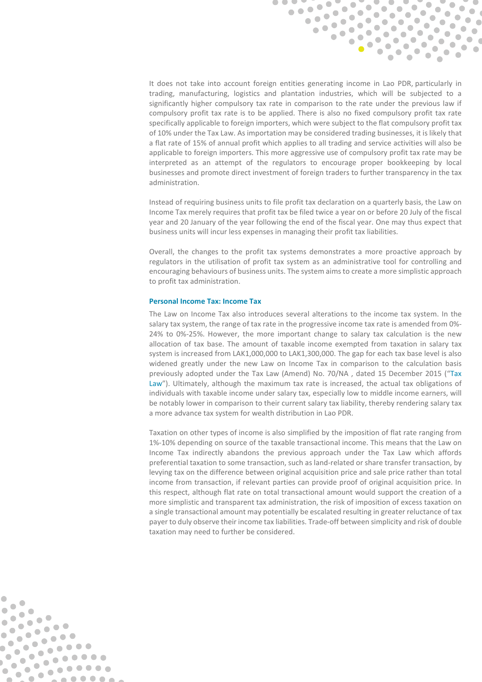

It does not take into account foreign entities generating income in Lao PDR, particularly in trading, manufacturing, logistics and plantation industries, which will be subjected to a significantly higher compulsory tax rate in comparison to the rate under the previous law if compulsory profit tax rate is to be applied. There is also no fixed compulsory profit tax rate specifically applicable to foreign importers, which were subject to the flat compulsory profit tax of 10% under the Tax Law. As importation may be considered trading businesses, it is likely that a flat rate of 15% of annual profit which applies to all trading and service activities will also be applicable to foreign importers. This more aggressive use of compulsory profit tax rate may be interpreted as an attempt of the regulators to encourage proper bookkeeping by local businesses and promote direct investment of foreign traders to further transparency in the tax administration.

Instead of requiring business units to file profit tax declaration on a quarterly basis, the Law on Income Tax merely requires that profit tax be filed twice a year on or before 20 July of the fiscal year and 20 January of the year following the end of the fiscal year. One may thus expect that business units will incur less expenses in managing their profit tax liabilities.

Overall, the changes to the profit tax systems demonstrates a more proactive approach by regulators in the utilisation of profit tax system as an administrative tool for controlling and encouraging behaviours of business units. The system aims to create a more simplistic approach to profit tax administration.

### **Personal Income Tax: Income Tax**

 $\overline{\phantom{a}}$ 

 $\bullet$ 

 $\bullet$  $\bullet$ 

 $\bullet$  $\bullet$ 

 $\bullet$  $\begin{array}{ccc} \bullet & \bullet & \bullet \\ \bullet & \bullet & \bullet \end{array}$  $\bullet$ 

 $\bullet$  $\overline{\phantom{a}}$ 

 $\blacksquare$ 

 $\blacksquare$  $\bullet$  $\bullet$  $\bullet$  $\frac{1}{2}$ 

 $\sqrt{2}$ 

**.....** 

The Law on Income Tax also introduces several alterations to the income tax system. In the salary tax system, the range of tax rate in the progressive income tax rate is amended from 0%- 24% to 0%-25%. However, the more important change to salary tax calculation is the new allocation of tax base. The amount of taxable income exempted from taxation in salary tax system is increased from LAK1,000,000 to LAK1,300,000. The gap for each tax base level is also widened greatly under the new Law on Income Tax in comparison to the calculation basis previously adopted under the Tax Law (Amend) No. 70/NA , dated 15 December 2015 ("Tax Law"). Ultimately, although the maximum tax rate is increased, the actual tax obligations of individuals with taxable income under salary tax, especially low to middle income earners, will be notably lower in comparison to their current salary tax liability, thereby rendering salary tax a more advance tax system for wealth distribution in Lao PDR.

Taxation on other types of income is also simplified by the imposition of flat rate ranging from 1%-10% depending on source of the taxable transactional income. This means that the Law on Income Tax indirectly abandons the previous approach under the Tax Law which affords preferential taxation to some transaction, such as land-related or share transfer transaction, by levying tax on the difference between original acquisition price and sale price rather than total income from transaction, if relevant parties can provide proof of original acquisition price. In this respect, although flat rate on total transactional amount would support the creation of a more simplistic and transparent tax administration, the risk of imposition of excess taxation on a single transactional amount may potentially be escalated resulting in greater reluctance of tax payer to duly observe their income tax liabilities. Trade-off between simplicity and risk of double taxation may need to further be considered.